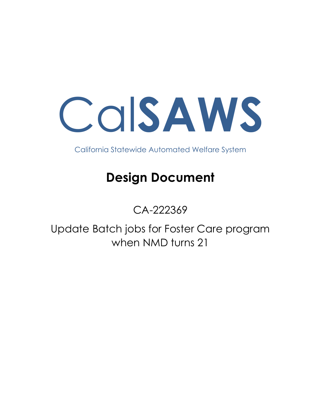Cal**SAWS**

California Statewide Automated Welfare System

# **Design Document**

## CA-222369

Update Batch jobs for Foster Care program when NMD turns 21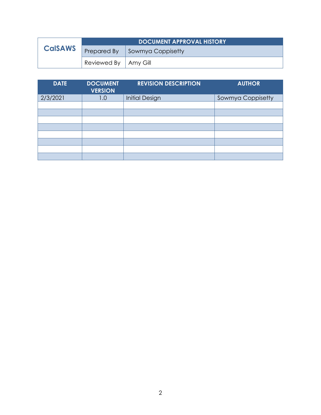|                | <b>DOCUMENT APPROVAL HISTORY</b> |                   |
|----------------|----------------------------------|-------------------|
| <b>CalSAWS</b> | Prepared By                      | Sowmya Coppisetty |
|                | Reviewed By   Amy Gill           |                   |

| <b>DATE</b> | <b>DOCUMENT</b><br><b>VERSION</b> | <b>REVISION DESCRIPTION</b> | <b>AUTHOR</b>     |
|-------------|-----------------------------------|-----------------------------|-------------------|
| 2/3/2021    | 1.0                               | <b>Initial Design</b>       | Sowmya Coppisetty |
|             |                                   |                             |                   |
|             |                                   |                             |                   |
|             |                                   |                             |                   |
|             |                                   |                             |                   |
|             |                                   |                             |                   |
|             |                                   |                             |                   |
|             |                                   |                             |                   |
|             |                                   |                             |                   |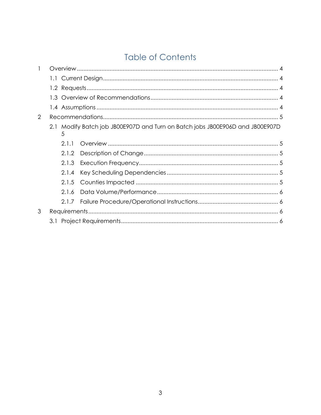## **Table of Contents**

| $\mathbf{1}$   |       |                                                                               |  |  |  |
|----------------|-------|-------------------------------------------------------------------------------|--|--|--|
|                |       |                                                                               |  |  |  |
|                |       |                                                                               |  |  |  |
|                |       |                                                                               |  |  |  |
|                |       |                                                                               |  |  |  |
| $\overline{2}$ |       |                                                                               |  |  |  |
|                | 5     | 2.1 Modify Batch job JB00E907D and Turn on Batch jobs JB00E906D and JB00E907D |  |  |  |
|                | 2.1.1 |                                                                               |  |  |  |
|                | 2.1.2 |                                                                               |  |  |  |
|                | 2.1.3 |                                                                               |  |  |  |
|                | 2.1.4 |                                                                               |  |  |  |
|                | 2.1.5 |                                                                               |  |  |  |
|                | 2.1.6 |                                                                               |  |  |  |
|                | 2.1.7 |                                                                               |  |  |  |
| 3              |       |                                                                               |  |  |  |
|                |       |                                                                               |  |  |  |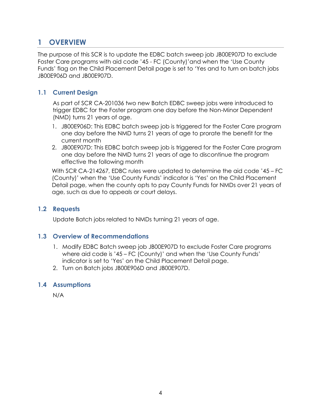## <span id="page-3-0"></span>**1 OVERVIEW**

The purpose of this SCR is to update the EDBC batch sweep job JB00E907D to exclude Foster Care programs with aid code '45 - FC (County)'and when the 'Use County Funds' flag on the Child Placement Detail page is set to 'Yes and to turn on batch jobs JB00E906D and JB00E907D.

#### <span id="page-3-1"></span>**1.1 Current Design**

As part of SCR CA-201036 two new Batch EDBC sweep jobs were introduced to trigger EDBC for the Foster program one day before the Non-Minor Dependent (NMD) turns 21 years of age.

- 1. JB00E906D: This EDBC batch sweep job is triggered for the Foster Care program one day before the NMD turns 21 years of age to prorate the benefit for the current month
- 2. JB00E907D: This EDBC batch sweep job is triggered for the Foster Care program one day before the NMD turns 21 years of age to discontinue the program effective the following month

With SCR CA-214267, EDBC rules were updated to determine the aid code '45 – FC (County)' when the 'Use County Funds' indicator is 'Yes' on the Child Placement Detail page, when the county opts to pay County Funds for NMDs over 21 years of age, such as due to appeals or court delays.

#### <span id="page-3-2"></span>**1.2 Requests**

Update Batch jobs related to NMDs turning 21 years of age.

#### <span id="page-3-3"></span>**1.3 Overview of Recommendations**

- 1. Modify EDBC Batch sweep job JB00E907D to exclude Foster Care programs where aid code is '45 – FC (County)' and when the 'Use County Funds' indicator is set to 'Yes' on the Child Placement Detail page.
- 2. Turn on Batch jobs JB00E906D and JB00E907D.

#### <span id="page-3-4"></span>**1.4 Assumptions**

N/A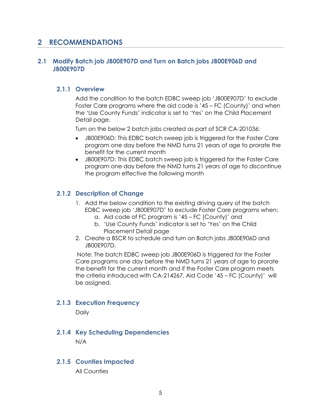### <span id="page-4-0"></span>**2 RECOMMENDATIONS**

#### <span id="page-4-2"></span><span id="page-4-1"></span>**2.1 Modify Batch job JB00E907D and Turn on Batch jobs JB00E906D and JB00E907D**

#### **2.1.1 Overview**

Add the condition to the batch EDBC sweep job 'JB00E907D' to exclude Foster Care programs where the aid code is '45 – FC (County)' and when the 'Use County Funds' indicator is set to 'Yes' on the Child Placement Detail page.

Turn on the below 2 batch jobs created as part of SCR CA-201036:

- JB00E906D: This EDBC batch sweep job is triggered for the Foster Care program one day before the NMD turns 21 years of age to prorate the benefit for the current month
- JB00E907D: This EDBC batch sweep job is triggered for the Foster Care program one day before the NMD turns 21 years of age to discontinue the program effective the following month

#### <span id="page-4-3"></span>**2.1.2 Description of Change**

- 1. Add the below condition to the existing driving query of the batch EDBC sweep job 'JB00E907D' to exclude Foster Care programs when:
	- a. Aid code of FC program is '45 FC (County)' and
	- b. 'Use County Funds' indicator is set to 'Yes' on the Child Placement Detail page
- 2. Create a BSCR to schedule and turn on Batch jobs JB00E906D and JB00E907D.

Note: The batch EDBC sweep job JB00E906D is triggered for the Foster Care programs one day before the NMD turns 21 years of age to prorate the benefit for the current month and if the Foster Care program meets the criteria introduced with CA-214267, Aid Code '45 – FC (County)' will be assigned.

#### <span id="page-4-4"></span>**2.1.3 Execution Frequency**

**Daily** 

#### <span id="page-4-5"></span>**2.1.4 Key Scheduling Dependencies**

N/A

#### <span id="page-4-6"></span>**2.1.5 Counties Impacted**

All Counties